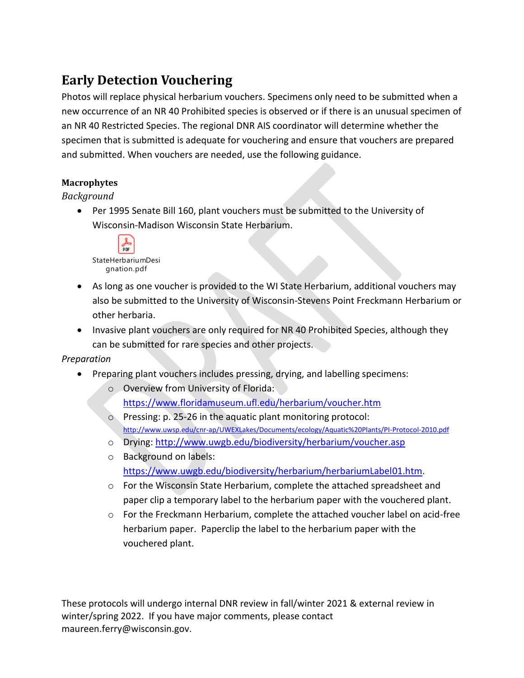# **Early Detection Vouchering**

Photos will replace physical herbarium vouchers. Specimens only need to be submitted when a new occurrence of an NR 40 Prohibited species is observed or if there is an unusual specimen of an NR 40 Restricted Species. The regional DNR AIS coordinator will determine whether the specimen that is submitted is adequate for vouchering and ensure that vouchers are prepared and submitted. When vouchers are needed, use the following guidance.

# **Macrophytes**

#### *Background*

• Per 1995 Senate Bill 160, plant vouchers must be submitted to the University of Wisconsin-Madison Wisconsin State Herbarium.



- As long as one voucher is provided to the WI State Herbarium, additional vouchers may also be submitted to the University of Wisconsin-Stevens Point Freckmann Herbarium or other herbaria.
- Invasive plant vouchers are only required for NR 40 Prohibited Species, although they can be submitted for rare species and other projects.

## *Preparation*

- Preparing plant vouchers includes pressing, drying, and labelling specimens:
	- o Overview from University of Florida: <https://www.floridamuseum.ufl.edu/herbarium/voucher.htm>
	- o Pressing: p. 25-26 in the aquatic plant monitoring protocol: <http://www.uwsp.edu/cnr-ap/UWEXLakes/Documents/ecology/Aquatic%20Plants/PI-Protocol-2010.pdf>
	- o Drying:<http://www.uwgb.edu/biodiversity/herbarium/voucher.asp>
	- o Background on labels: [https://www.uwgb.edu/biodiversity/herbarium/herbariumLabel01.htm.](https://www.uwgb.edu/biodiversity/herbarium/herbariumLabel01.htm)
	- o For the Wisconsin State Herbarium, complete the attached spreadsheet and paper clip a temporary label to the herbarium paper with the vouchered plant.
	- $\circ$  For the Freckmann Herbarium, complete the attached voucher label on acid-free herbarium paper. Paperclip the label to the herbarium paper with the vouchered plant.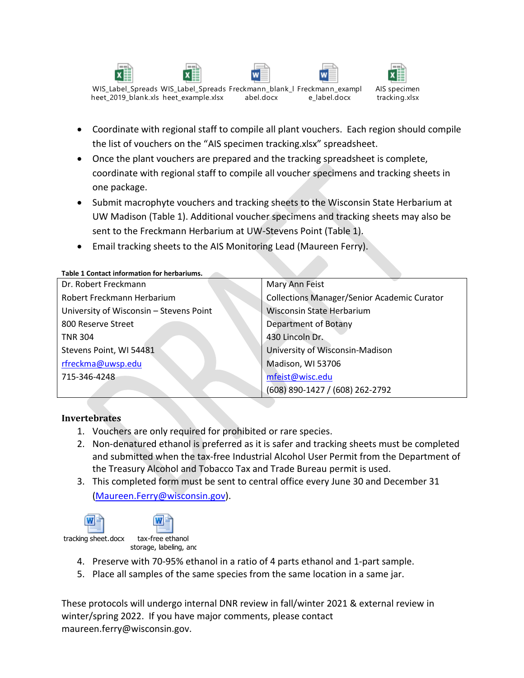WIS\_Label\_Spreads WIS\_Label\_Spreads Freckmann\_blank\_l Freckmann\_exampl heet\_2019\_blank.xls heet\_example.xlsx abel.docx e\_label.docx



- Coordinate with regional staff to compile all plant vouchers. Each region should compile the list of vouchers on the "AIS specimen tracking.xlsx" spreadsheet.
- Once the plant vouchers are prepared and the tracking spreadsheet is complete, coordinate with regional staff to compile all voucher specimens and tracking sheets in one package.
- Submit macrophyte vouchers and tracking sheets to the Wisconsin State Herbarium at UW Madison (Table 1). Additional voucher specimens and tracking sheets may also be sent to the Freckmann Herbarium at UW-Stevens Point (Table 1).
- Email tracking sheets to the AIS Monitoring Lead (Maureen Ferry).

#### **Table 1 Contact information for herbariums.**

| Dr. Robert Freckmann                    | Mary Ann Feist                                     |
|-----------------------------------------|----------------------------------------------------|
| Robert Freckmann Herbarium              | <b>Collections Manager/Senior Academic Curator</b> |
| University of Wisconsin - Stevens Point | <b>Wisconsin State Herbarium</b>                   |
| 800 Reserve Street                      | Department of Botany                               |
| <b>TNR 304</b>                          | 430 Lincoln Dr.                                    |
| Stevens Point, WI 54481                 | University of Wisconsin-Madison                    |
| rfreckma@uwsp.edu                       | Madison, WI 53706                                  |
| 715-346-4248                            | mfeist@wisc.edu                                    |
|                                         | (608) 890-1427 / (608) 262-2792                    |

#### **Invertebrates**

- 1. Vouchers are only required for prohibited or rare species.
- 2. Non-denatured ethanol is preferred as it is safer and tracking sheets must be completed and submitted when the tax-free Industrial Alcohol User Permit from the Department of the Treasury Alcohol and Tobacco Tax and Trade Bureau permit is used.
- 3. This completed form must be sent to central office every June 30 and December 31 [\(Maureen.Ferry@wisconsin.gov\)](mailto:Maureen.Ferry@wisconsin.gov).



- 4. Preserve with 70-95% ethanol in a ratio of 4 parts ethanol and 1-part sample.
- 5. Place all samples of the same species from the same location in a same jar.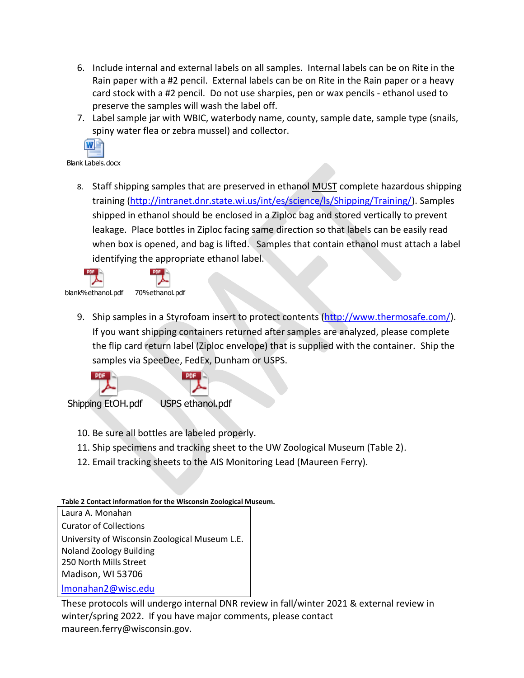- 6. Include internal and external labels on all samples. Internal labels can be on Rite in the Rain paper with a #2 pencil. External labels can be on Rite in the Rain paper or a heavy card stock with a #2 pencil. Do not use sharpies, pen or wax pencils - ethanol used to preserve the samples will wash the label off.
- 7. Label sample jar with WBIC, waterbody name, county, sample date, sample type (snails, spiny water flea or zebra mussel) and collector.



Blank Labels.docx

8. Staff shipping samples that are preserved in ethanol MUST complete hazardous shipping training [\(http://intranet.dnr.state.wi.us/int/es/science/ls/Shipping/Training/\)](http://intranet.dnr.state.wi.us/int/es/science/ls/Shipping/Training/). Samples shipped in ethanol should be enclosed in a Ziploc bag and stored vertically to prevent leakage. Place bottles in Ziploc facing same direction so that labels can be easily read when box is opened, and bag is lifted. Samples that contain ethanol must attach a label identifying the appropriate ethanol label.



9. Ship samples in a Styrofoam insert to protect contents [\(http://www.thermosafe.com/\)](http://www.thermosafe.com/). If you want shipping containers returned after samples are analyzed, please complete the flip card return label (Ziploc envelope) that is supplied with the container. Ship the samples via SpeeDee, FedEx, Dunham or USPS.



- 10. Be sure all bottles are labeled properly.
- 11. Ship specimens and tracking sheet to the UW Zoological Museum (Table 2).
- 12. Email tracking sheets to the AIS Monitoring Lead (Maureen Ferry).

## **Table 2 Contact information for the Wisconsin Zoological Museum.**

Laura A. Monahan Curator of Collections University of Wisconsin Zoological Museum L.E. Noland Zoology Building 250 North Mills Street Madison, WI 53706

[lmonahan2@wisc.edu](mailto:lmonahan2@wisc.edu)